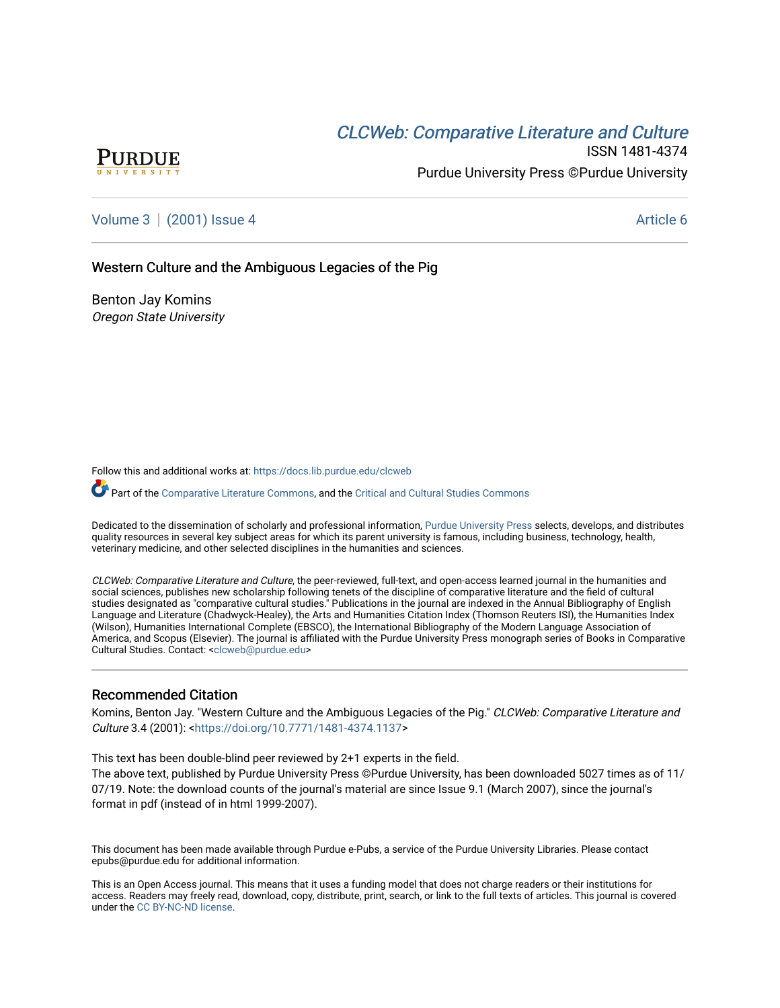# CLCW[eb: Comparative Liter](https://docs.lib.purdue.edu/clcweb)ature and Culture



ISSN 1481-4374 Purdue University Press ©Purdue University

[Volume 3](https://docs.lib.purdue.edu/clcweb/vol3) | [\(2001\) Issue 4](https://docs.lib.purdue.edu/clcweb/vol3/iss4) Article 6

Western Culture and the Ambiguous Legacies of the Pig

Benton Jay Komins Oregon State University

Follow this and additional works at: [https://docs.lib.purdue.edu/clcweb](https://docs.lib.purdue.edu/clcweb?utm_source=docs.lib.purdue.edu%2Fclcweb%2Fvol3%2Fiss4%2F6&utm_medium=PDF&utm_campaign=PDFCoverPages)

Part of the [Comparative Literature Commons,](http://network.bepress.com/hgg/discipline/454?utm_source=docs.lib.purdue.edu%2Fclcweb%2Fvol3%2Fiss4%2F6&utm_medium=PDF&utm_campaign=PDFCoverPages) and the Critical and Cultural Studies Commons

Dedicated to the dissemination of scholarly and professional information, [Purdue University Press](http://www.thepress.purdue.edu/) selects, develops, and distributes quality resources in several key subject areas for which its parent university is famous, including business, technology, health, veterinary medicine, and other selected disciplines in the humanities and sciences.

CLCWeb: Comparative Literature and Culture, the peer-reviewed, full-text, and open-access learned journal in the humanities and social sciences, publishes new scholarship following tenets of the discipline of comparative literature and the field of cultural studies designated as "comparative cultural studies." Publications in the journal are indexed in the Annual Bibliography of English Language and Literature (Chadwyck-Healey), the Arts and Humanities Citation Index (Thomson Reuters ISI), the Humanities Index (Wilson), Humanities International Complete (EBSCO), the International Bibliography of the Modern Language Association of America, and Scopus (Elsevier). The journal is affiliated with the Purdue University Press monograph series of Books in Comparative Cultural Studies. Contact: [<clcweb@purdue.edu](mailto:clcweb@purdue.edu)>

#### Recommended Citation

Komins, Benton Jay. "Western Culture and the Ambiguous Legacies of the Pig." CLCWeb: Comparative Literature and Culture 3.4 (2001): <[https://doi.org/10.7771/1481-4374.1137>](https://doi.org/10.7771/1481-4374.1137)

This text has been double-blind peer reviewed by 2+1 experts in the field.

The above text, published by Purdue University Press ©Purdue University, has been downloaded 5027 times as of 11/ 07/19. Note: the download counts of the journal's material are since Issue 9.1 (March 2007), since the journal's format in pdf (instead of in html 1999-2007).

This document has been made available through Purdue e-Pubs, a service of the Purdue University Libraries. Please contact epubs@purdue.edu for additional information.

This is an Open Access journal. This means that it uses a funding model that does not charge readers or their institutions for access. Readers may freely read, download, copy, distribute, print, search, or link to the full texts of articles. This journal is covered under the [CC BY-NC-ND license.](https://creativecommons.org/licenses/by-nc-nd/4.0/)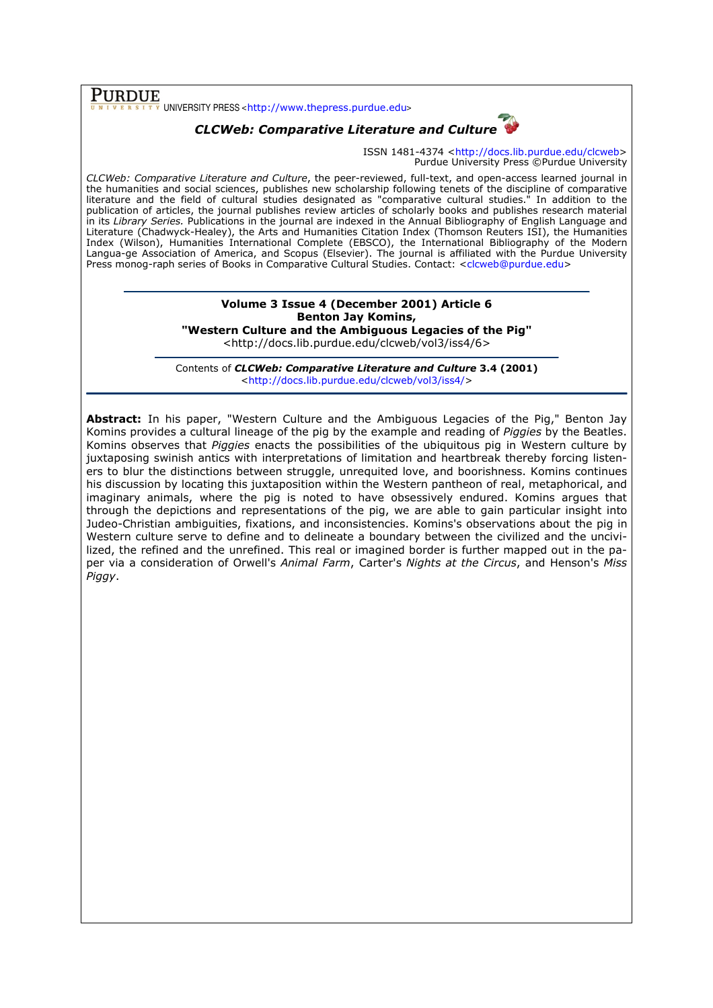$\overline{\text{PURDUE}}$  UNIVERSITY PRESS <http://www.thepress.purdue.edu>

# CLCWeb: Comparative Literature and Culture

ISSN 1481-4374 <http://docs.lib.purdue.edu/clcweb> Purdue University Press ©Purdue University

CLCWeb: Comparative Literature and Culture, the peer-reviewed, full-text, and open-access learned journal in the humanities and social sciences, publishes new scholarship following tenets of the discipline of comparative literature and the field of cultural studies designated as "comparative cultural studies." In addition to the publication of articles, the journal publishes review articles of scholarly books and publishes research material in its Library Series. Publications in the journal are indexed in the Annual Bibliography of English Language and Literature (Chadwyck-Healey), the Arts and Humanities Citation Index (Thomson Reuters ISI), the Humanities Index (Wilson), Humanities International Complete (EBSCO), the International Bibliography of the Modern Langua-ge Association of America, and Scopus (Elsevier). The journal is affiliated with the Purdue University Press monog-raph series of Books in Comparative Cultural Studies. Contact: <clcweb@purdue.edu>

#### Volume 3 Issue 4 (December 2001) Article 6 Benton Jay Komins, "Western Culture and the Ambiguous Legacies of the Pig"

<http://docs.lib.purdue.edu/clcweb/vol3/iss4/6>

Contents of CLCWeb: Comparative Literature and Culture 3.4 (2001) <http://docs.lib.purdue.edu/clcweb/vol3/iss4/>

Abstract: In his paper, "Western Culture and the Ambiguous Legacies of the Pig," Benton Jay Komins provides a cultural lineage of the pig by the example and reading of Piggies by the Beatles. Komins observes that Piggies enacts the possibilities of the ubiquitous pig in Western culture by juxtaposing swinish antics with interpretations of limitation and heartbreak thereby forcing listeners to blur the distinctions between struggle, unrequited love, and boorishness. Komins continues his discussion by locating this juxtaposition within the Western pantheon of real, metaphorical, and imaginary animals, where the pig is noted to have obsessively endured. Komins argues that through the depictions and representations of the pig, we are able to gain particular insight into Judeo-Christian ambiguities, fixations, and inconsistencies. Komins's observations about the pig in Western culture serve to define and to delineate a boundary between the civilized and the uncivilized, the refined and the unrefined. This real or imagined border is further mapped out in the paper via a consideration of Orwell's Animal Farm, Carter's Nights at the Circus, and Henson's Miss Piggy.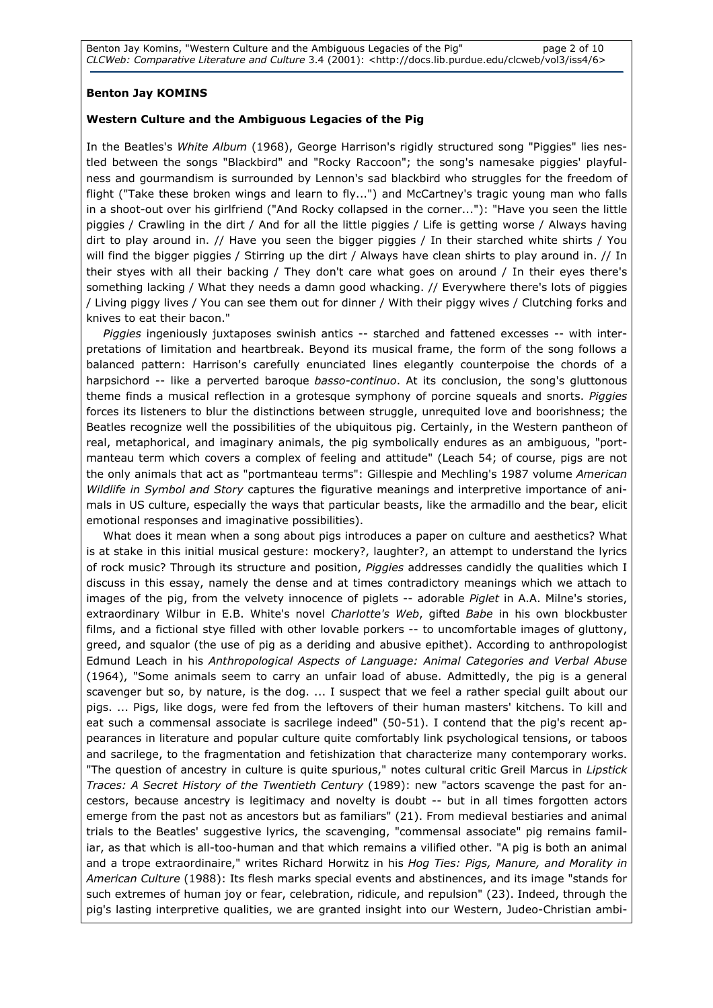## Benton Jay KOMINS

## Western Culture and the Ambiguous Legacies of the Pig

In the Beatles's White Album (1968), George Harrison's rigidly structured song "Piggies" lies nestled between the songs "Blackbird" and "Rocky Raccoon"; the song's namesake piggies' playfulness and gourmandism is surrounded by Lennon's sad blackbird who struggles for the freedom of flight ("Take these broken wings and learn to fly...") and McCartney's tragic young man who falls in a shoot-out over his girlfriend ("And Rocky collapsed in the corner..."): "Have you seen the little piggies / Crawling in the dirt / And for all the little piggies / Life is getting worse / Always having dirt to play around in. // Have you seen the bigger piggies / In their starched white shirts / You will find the bigger piggies / Stirring up the dirt / Always have clean shirts to play around in. // In their styes with all their backing / They don't care what goes on around / In their eyes there's something lacking / What they needs a damn good whacking. // Everywhere there's lots of piggies / Living piggy lives / You can see them out for dinner / With their piggy wives / Clutching forks and knives to eat their bacon."

Piggies ingeniously juxtaposes swinish antics -- starched and fattened excesses -- with interpretations of limitation and heartbreak. Beyond its musical frame, the form of the song follows a balanced pattern: Harrison's carefully enunciated lines elegantly counterpoise the chords of a harpsichord -- like a perverted baroque basso-continuo. At its conclusion, the song's gluttonous theme finds a musical reflection in a grotesque symphony of porcine squeals and snorts. Piggies forces its listeners to blur the distinctions between struggle, unrequited love and boorishness; the Beatles recognize well the possibilities of the ubiquitous pig. Certainly, in the Western pantheon of real, metaphorical, and imaginary animals, the pig symbolically endures as an ambiguous, "portmanteau term which covers a complex of feeling and attitude" (Leach 54; of course, pigs are not the only animals that act as "portmanteau terms": Gillespie and Mechling's 1987 volume American Wildlife in Symbol and Story captures the figurative meanings and interpretive importance of animals in US culture, especially the ways that particular beasts, like the armadillo and the bear, elicit emotional responses and imaginative possibilities).

What does it mean when a song about pigs introduces a paper on culture and aesthetics? What is at stake in this initial musical gesture: mockery?, laughter?, an attempt to understand the lyrics of rock music? Through its structure and position, Piggies addresses candidly the qualities which I discuss in this essay, namely the dense and at times contradictory meanings which we attach to images of the pig, from the velvety innocence of piglets -- adorable Piglet in A.A. Milne's stories, extraordinary Wilbur in E.B. White's novel Charlotte's Web, gifted Babe in his own blockbuster films, and a fictional stye filled with other lovable porkers -- to uncomfortable images of gluttony, greed, and squalor (the use of pig as a deriding and abusive epithet). According to anthropologist Edmund Leach in his Anthropological Aspects of Language: Animal Categories and Verbal Abuse (1964), "Some animals seem to carry an unfair load of abuse. Admittedly, the pig is a general scavenger but so, by nature, is the dog. ... I suspect that we feel a rather special guilt about our pigs. ... Pigs, like dogs, were fed from the leftovers of their human masters' kitchens. To kill and eat such a commensal associate is sacrilege indeed" (50-51). I contend that the pig's recent appearances in literature and popular culture quite comfortably link psychological tensions, or taboos and sacrilege, to the fragmentation and fetishization that characterize many contemporary works. "The question of ancestry in culture is quite spurious," notes cultural critic Greil Marcus in Lipstick Traces: A Secret History of the Twentieth Century (1989): new "actors scavenge the past for ancestors, because ancestry is legitimacy and novelty is doubt -- but in all times forgotten actors emerge from the past not as ancestors but as familiars" (21). From medieval bestiaries and animal trials to the Beatles' suggestive lyrics, the scavenging, "commensal associate" pig remains familiar, as that which is all-too-human and that which remains a vilified other. "A pig is both an animal and a trope extraordinaire," writes Richard Horwitz in his Hog Ties: Pigs, Manure, and Morality in American Culture (1988): Its flesh marks special events and abstinences, and its image "stands for such extremes of human joy or fear, celebration, ridicule, and repulsion" (23). Indeed, through the pig's lasting interpretive qualities, we are granted insight into our Western, Judeo-Christian ambi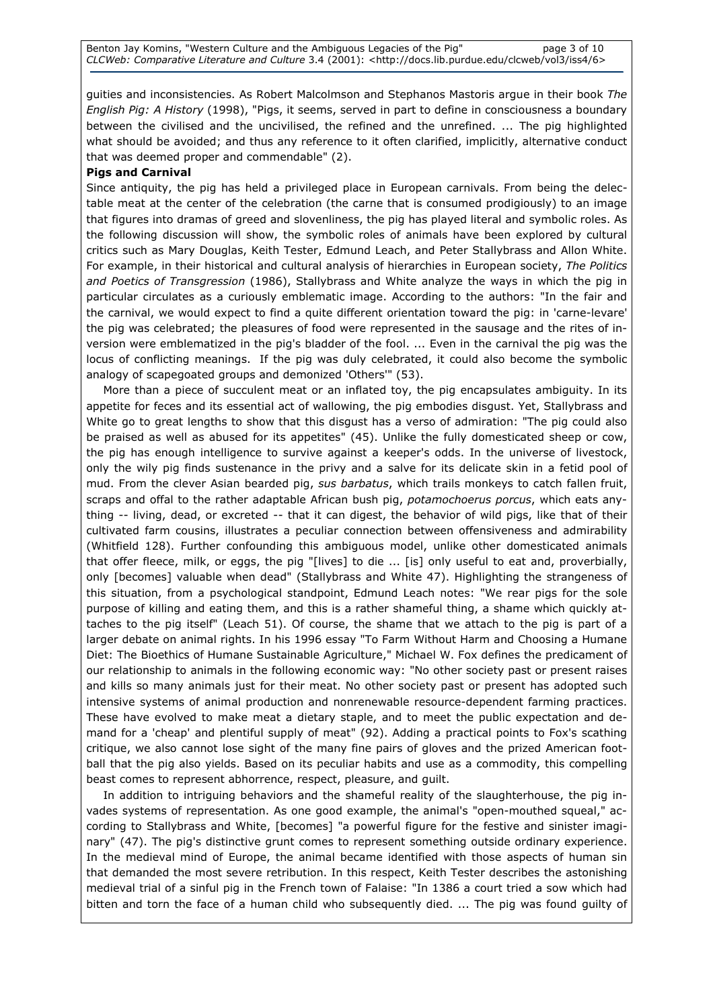guities and inconsistencies. As Robert Malcolmson and Stephanos Mastoris argue in their book The English Pig: A History (1998), "Pigs, it seems, served in part to define in consciousness a boundary between the civilised and the uncivilised, the refined and the unrefined. ... The pig highlighted what should be avoided; and thus any reference to it often clarified, implicitly, alternative conduct that was deemed proper and commendable" (2).

# Pigs and Carnival

Since antiquity, the pig has held a privileged place in European carnivals. From being the delectable meat at the center of the celebration (the carne that is consumed prodigiously) to an image that figures into dramas of greed and slovenliness, the pig has played literal and symbolic roles. As the following discussion will show, the symbolic roles of animals have been explored by cultural critics such as Mary Douglas, Keith Tester, Edmund Leach, and Peter Stallybrass and Allon White. For example, in their historical and cultural analysis of hierarchies in European society, The Politics and Poetics of Transgression (1986), Stallybrass and White analyze the ways in which the pig in particular circulates as a curiously emblematic image. According to the authors: "In the fair and the carnival, we would expect to find a quite different orientation toward the pig: in 'carne-levare' the pig was celebrated; the pleasures of food were represented in the sausage and the rites of inversion were emblematized in the pig's bladder of the fool. ... Even in the carnival the pig was the locus of conflicting meanings. If the pig was duly celebrated, it could also become the symbolic analogy of scapegoated groups and demonized 'Others'" (53).

 More than a piece of succulent meat or an inflated toy, the pig encapsulates ambiguity. In its appetite for feces and its essential act of wallowing, the pig embodies disgust. Yet, Stallybrass and White go to great lengths to show that this disgust has a verso of admiration: "The pig could also be praised as well as abused for its appetites" (45). Unlike the fully domesticated sheep or cow, the pig has enough intelligence to survive against a keeper's odds. In the universe of livestock, only the wily pig finds sustenance in the privy and a salve for its delicate skin in a fetid pool of mud. From the clever Asian bearded pig, sus barbatus, which trails monkeys to catch fallen fruit, scraps and offal to the rather adaptable African bush pig, potamochoerus porcus, which eats anything -- living, dead, or excreted -- that it can digest, the behavior of wild pigs, like that of their cultivated farm cousins, illustrates a peculiar connection between offensiveness and admirability (Whitfield 128). Further confounding this ambiguous model, unlike other domesticated animals that offer fleece, milk, or eggs, the pig "[lives] to die ... [is] only useful to eat and, proverbially, only [becomes] valuable when dead" (Stallybrass and White 47). Highlighting the strangeness of this situation, from a psychological standpoint, Edmund Leach notes: "We rear pigs for the sole purpose of killing and eating them, and this is a rather shameful thing, a shame which quickly attaches to the pig itself" (Leach 51). Of course, the shame that we attach to the pig is part of a larger debate on animal rights. In his 1996 essay "To Farm Without Harm and Choosing a Humane Diet: The Bioethics of Humane Sustainable Agriculture," Michael W. Fox defines the predicament of our relationship to animals in the following economic way: "No other society past or present raises and kills so many animals just for their meat. No other society past or present has adopted such intensive systems of animal production and nonrenewable resource-dependent farming practices. These have evolved to make meat a dietary staple, and to meet the public expectation and demand for a 'cheap' and plentiful supply of meat" (92). Adding a practical points to Fox's scathing critique, we also cannot lose sight of the many fine pairs of gloves and the prized American football that the pig also yields. Based on its peculiar habits and use as a commodity, this compelling beast comes to represent abhorrence, respect, pleasure, and guilt.

 In addition to intriguing behaviors and the shameful reality of the slaughterhouse, the pig invades systems of representation. As one good example, the animal's "open-mouthed squeal," according to Stallybrass and White, [becomes] "a powerful figure for the festive and sinister imaginary" (47). The pig's distinctive grunt comes to represent something outside ordinary experience. In the medieval mind of Europe, the animal became identified with those aspects of human sin that demanded the most severe retribution. In this respect, Keith Tester describes the astonishing medieval trial of a sinful pig in the French town of Falaise: "In 1386 a court tried a sow which had bitten and torn the face of a human child who subsequently died. ... The pig was found guilty of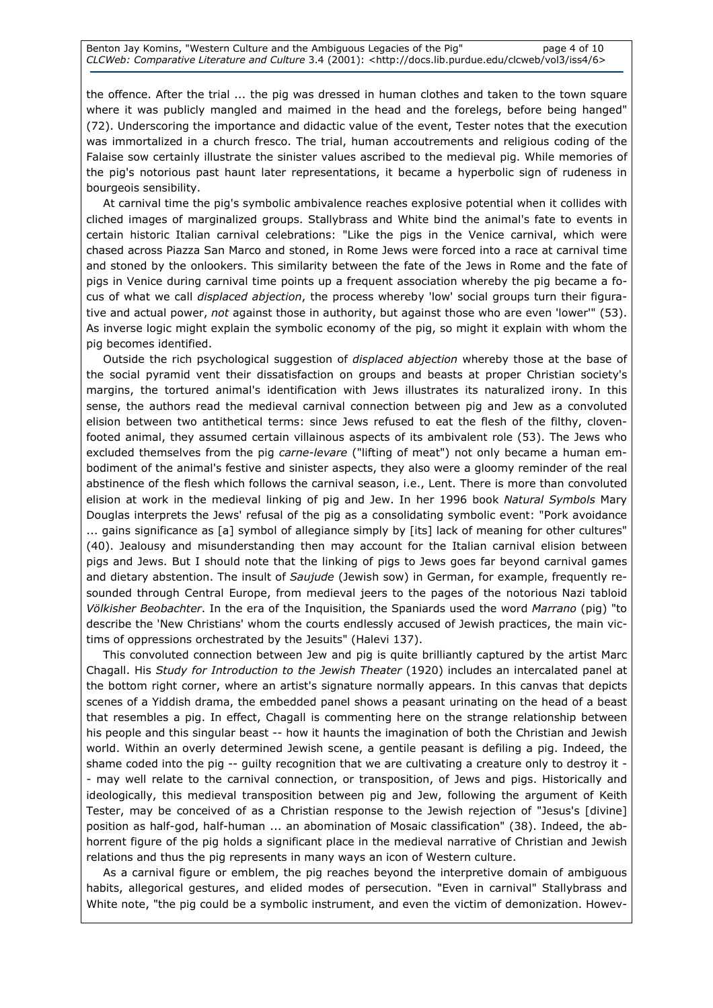the offence. After the trial ... the pig was dressed in human clothes and taken to the town square where it was publicly mangled and maimed in the head and the forelegs, before being hanged" (72). Underscoring the importance and didactic value of the event, Tester notes that the execution was immortalized in a church fresco. The trial, human accoutrements and religious coding of the Falaise sow certainly illustrate the sinister values ascribed to the medieval pig. While memories of the pig's notorious past haunt later representations, it became a hyperbolic sign of rudeness in bourgeois sensibility.

 At carnival time the pig's symbolic ambivalence reaches explosive potential when it collides with cliched images of marginalized groups. Stallybrass and White bind the animal's fate to events in certain historic Italian carnival celebrations: "Like the pigs in the Venice carnival, which were chased across Piazza San Marco and stoned, in Rome Jews were forced into a race at carnival time and stoned by the onlookers. This similarity between the fate of the Jews in Rome and the fate of pigs in Venice during carnival time points up a frequent association whereby the pig became a focus of what we call *displaced abjection*, the process whereby 'low' social groups turn their figurative and actual power, not against those in authority, but against those who are even 'lower'" (53). As inverse logic might explain the symbolic economy of the pig, so might it explain with whom the pig becomes identified.

Outside the rich psychological suggestion of *displaced abjection* whereby those at the base of the social pyramid vent their dissatisfaction on groups and beasts at proper Christian society's margins, the tortured animal's identification with Jews illustrates its naturalized irony. In this sense, the authors read the medieval carnival connection between pig and Jew as a convoluted elision between two antithetical terms: since Jews refused to eat the flesh of the filthy, clovenfooted animal, they assumed certain villainous aspects of its ambivalent role (53). The Jews who excluded themselves from the pig carne-levare ("lifting of meat") not only became a human embodiment of the animal's festive and sinister aspects, they also were a gloomy reminder of the real abstinence of the flesh which follows the carnival season, i.e., Lent. There is more than convoluted elision at work in the medieval linking of pig and Jew. In her 1996 book Natural Symbols Mary Douglas interprets the Jews' refusal of the pig as a consolidating symbolic event: "Pork avoidance ... gains significance as [a] symbol of allegiance simply by [its] lack of meaning for other cultures" (40). Jealousy and misunderstanding then may account for the Italian carnival elision between pigs and Jews. But I should note that the linking of pigs to Jews goes far beyond carnival games and dietary abstention. The insult of Saujude (Jewish sow) in German, for example, frequently resounded through Central Europe, from medieval jeers to the pages of the notorious Nazi tabloid Völkisher Beobachter. In the era of the Inquisition, the Spaniards used the word Marrano (pig) "to describe the 'New Christians' whom the courts endlessly accused of Jewish practices, the main victims of oppressions orchestrated by the Jesuits" (Halevi 137).

 This convoluted connection between Jew and pig is quite brilliantly captured by the artist Marc Chagall. His Study for Introduction to the Jewish Theater (1920) includes an intercalated panel at the bottom right corner, where an artist's signature normally appears. In this canvas that depicts scenes of a Yiddish drama, the embedded panel shows a peasant urinating on the head of a beast that resembles a pig. In effect, Chagall is commenting here on the strange relationship between his people and this singular beast -- how it haunts the imagination of both the Christian and Jewish world. Within an overly determined Jewish scene, a gentile peasant is defiling a pig. Indeed, the shame coded into the pig -- guilty recognition that we are cultivating a creature only to destroy it -- may well relate to the carnival connection, or transposition, of Jews and pigs. Historically and ideologically, this medieval transposition between pig and Jew, following the argument of Keith Tester, may be conceived of as a Christian response to the Jewish rejection of "Jesus's [divine] position as half-god, half-human ... an abomination of Mosaic classification" (38). Indeed, the abhorrent figure of the pig holds a significant place in the medieval narrative of Christian and Jewish relations and thus the pig represents in many ways an icon of Western culture.

 As a carnival figure or emblem, the pig reaches beyond the interpretive domain of ambiguous habits, allegorical gestures, and elided modes of persecution. "Even in carnival" Stallybrass and White note, "the pig could be a symbolic instrument, and even the victim of demonization. Howev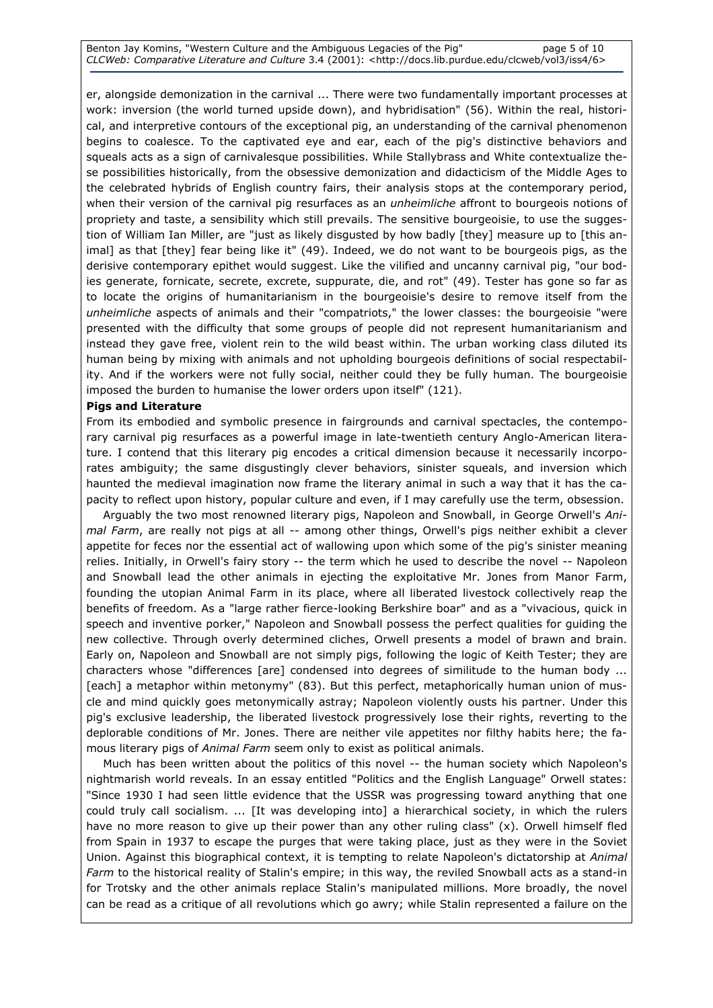Benton Jay Komins, "Western Culture and the Ambiguous Legacies of the Pig" page 5 of 10 CLCWeb: Comparative Literature and Culture 3.4 (2001): <http://docs.lib.purdue.edu/clcweb/vol3/iss4/6>

er, alongside demonization in the carnival ... There were two fundamentally important processes at work: inversion (the world turned upside down), and hybridisation" (56). Within the real, historical, and interpretive contours of the exceptional pig, an understanding of the carnival phenomenon begins to coalesce. To the captivated eye and ear, each of the pig's distinctive behaviors and squeals acts as a sign of carnivalesque possibilities. While Stallybrass and White contextualize these possibilities historically, from the obsessive demonization and didacticism of the Middle Ages to the celebrated hybrids of English country fairs, their analysis stops at the contemporary period, when their version of the carnival pig resurfaces as an *unheimliche* affront to bourgeois notions of propriety and taste, a sensibility which still prevails. The sensitive bourgeoisie, to use the suggestion of William Ian Miller, are "just as likely disgusted by how badly [they] measure up to [this animal] as that [they] fear being like it" (49). Indeed, we do not want to be bourgeois pigs, as the derisive contemporary epithet would suggest. Like the vilified and uncanny carnival pig, "our bodies generate, fornicate, secrete, excrete, suppurate, die, and rot" (49). Tester has gone so far as to locate the origins of humanitarianism in the bourgeoisie's desire to remove itself from the unheimliche aspects of animals and their "compatriots," the lower classes: the bourgeoisie "were presented with the difficulty that some groups of people did not represent humanitarianism and instead they gave free, violent rein to the wild beast within. The urban working class diluted its human being by mixing with animals and not upholding bourgeois definitions of social respectability. And if the workers were not fully social, neither could they be fully human. The bourgeoisie imposed the burden to humanise the lower orders upon itself" (121).

#### Pigs and Literature

From its embodied and symbolic presence in fairgrounds and carnival spectacles, the contemporary carnival pig resurfaces as a powerful image in late-twentieth century Anglo-American literature. I contend that this literary pig encodes a critical dimension because it necessarily incorporates ambiguity; the same disgustingly clever behaviors, sinister squeals, and inversion which haunted the medieval imagination now frame the literary animal in such a way that it has the capacity to reflect upon history, popular culture and even, if I may carefully use the term, obsession.

Arguably the two most renowned literary pigs, Napoleon and Snowball, in George Orwell's Animal Farm, are really not pigs at all -- among other things, Orwell's pigs neither exhibit a clever appetite for feces nor the essential act of wallowing upon which some of the pig's sinister meaning relies. Initially, in Orwell's fairy story -- the term which he used to describe the novel -- Napoleon and Snowball lead the other animals in ejecting the exploitative Mr. Jones from Manor Farm, founding the utopian Animal Farm in its place, where all liberated livestock collectively reap the benefits of freedom. As a "large rather fierce-looking Berkshire boar" and as a "vivacious, quick in speech and inventive porker," Napoleon and Snowball possess the perfect qualities for guiding the new collective. Through overly determined cliches, Orwell presents a model of brawn and brain. Early on, Napoleon and Snowball are not simply pigs, following the logic of Keith Tester; they are characters whose "differences [are] condensed into degrees of similitude to the human body ... [each] a metaphor within metonymy" (83). But this perfect, metaphorically human union of muscle and mind quickly goes metonymically astray; Napoleon violently ousts his partner. Under this pig's exclusive leadership, the liberated livestock progressively lose their rights, reverting to the deplorable conditions of Mr. Jones. There are neither vile appetites nor filthy habits here; the famous literary pigs of Animal Farm seem only to exist as political animals.

Much has been written about the politics of this novel -- the human society which Napoleon's nightmarish world reveals. In an essay entitled "Politics and the English Language" Orwell states: "Since 1930 I had seen little evidence that the USSR was progressing toward anything that one could truly call socialism. ... [It was developing into] a hierarchical society, in which the rulers have no more reason to give up their power than any other ruling class" (x). Orwell himself fled from Spain in 1937 to escape the purges that were taking place, just as they were in the Soviet Union. Against this biographical context, it is tempting to relate Napoleon's dictatorship at Animal Farm to the historical reality of Stalin's empire; in this way, the reviled Snowball acts as a stand-in for Trotsky and the other animals replace Stalin's manipulated millions. More broadly, the novel can be read as a critique of all revolutions which go awry; while Stalin represented a failure on the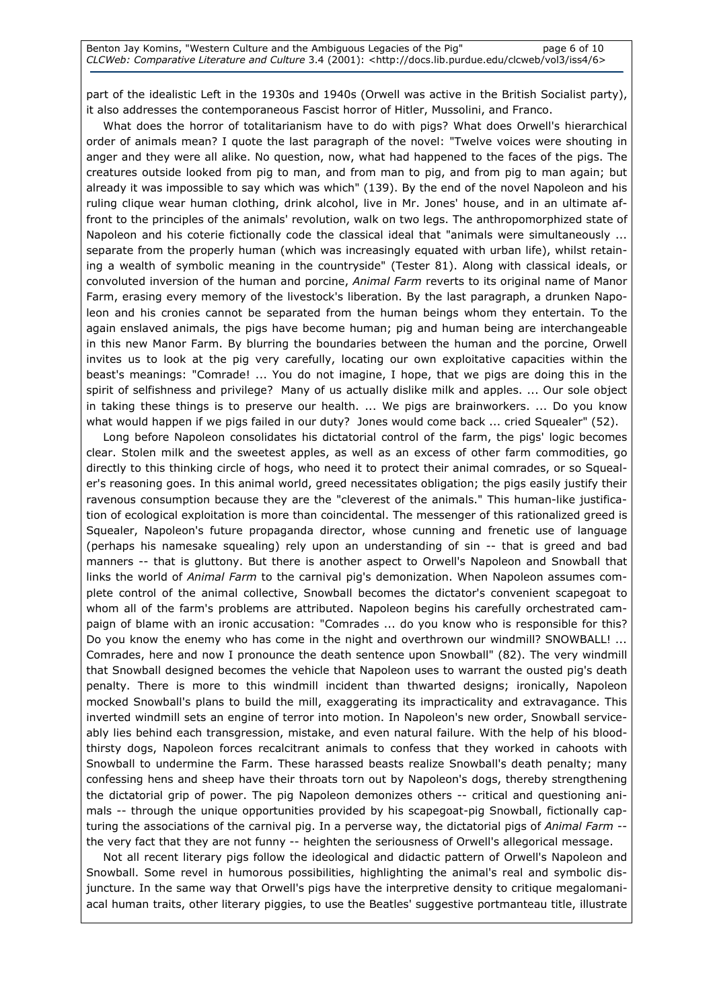part of the idealistic Left in the 1930s and 1940s (Orwell was active in the British Socialist party), it also addresses the contemporaneous Fascist horror of Hitler, Mussolini, and Franco.

What does the horror of totalitarianism have to do with pigs? What does Orwell's hierarchical order of animals mean? I quote the last paragraph of the novel: "Twelve voices were shouting in anger and they were all alike. No question, now, what had happened to the faces of the pigs. The creatures outside looked from pig to man, and from man to pig, and from pig to man again; but already it was impossible to say which was which" (139). By the end of the novel Napoleon and his ruling clique wear human clothing, drink alcohol, live in Mr. Jones' house, and in an ultimate affront to the principles of the animals' revolution, walk on two legs. The anthropomorphized state of Napoleon and his coterie fictionally code the classical ideal that "animals were simultaneously ... separate from the properly human (which was increasingly equated with urban life), whilst retaining a wealth of symbolic meaning in the countryside" (Tester 81). Along with classical ideals, or convoluted inversion of the human and porcine, Animal Farm reverts to its original name of Manor Farm, erasing every memory of the livestock's liberation. By the last paragraph, a drunken Napoleon and his cronies cannot be separated from the human beings whom they entertain. To the again enslaved animals, the pigs have become human; pig and human being are interchangeable in this new Manor Farm. By blurring the boundaries between the human and the porcine, Orwell invites us to look at the pig very carefully, locating our own exploitative capacities within the beast's meanings: "Comrade! ... You do not imagine, I hope, that we pigs are doing this in the spirit of selfishness and privilege? Many of us actually dislike milk and apples. ... Our sole object in taking these things is to preserve our health. ... We pigs are brainworkers. ... Do you know what would happen if we pigs failed in our duty? Jones would come back ... cried Squealer" (52).

Long before Napoleon consolidates his dictatorial control of the farm, the pigs' logic becomes clear. Stolen milk and the sweetest apples, as well as an excess of other farm commodities, go directly to this thinking circle of hogs, who need it to protect their animal comrades, or so Squealer's reasoning goes. In this animal world, greed necessitates obligation; the pigs easily justify their ravenous consumption because they are the "cleverest of the animals." This human-like justification of ecological exploitation is more than coincidental. The messenger of this rationalized greed is Squealer, Napoleon's future propaganda director, whose cunning and frenetic use of language (perhaps his namesake squealing) rely upon an understanding of sin -- that is greed and bad manners -- that is gluttony. But there is another aspect to Orwell's Napoleon and Snowball that links the world of Animal Farm to the carnival pig's demonization. When Napoleon assumes complete control of the animal collective, Snowball becomes the dictator's convenient scapegoat to whom all of the farm's problems are attributed. Napoleon begins his carefully orchestrated campaign of blame with an ironic accusation: "Comrades ... do you know who is responsible for this? Do you know the enemy who has come in the night and overthrown our windmill? SNOWBALL! ... Comrades, here and now I pronounce the death sentence upon Snowball" (82). The very windmill that Snowball designed becomes the vehicle that Napoleon uses to warrant the ousted pig's death penalty. There is more to this windmill incident than thwarted designs; ironically, Napoleon mocked Snowball's plans to build the mill, exaggerating its impracticality and extravagance. This inverted windmill sets an engine of terror into motion. In Napoleon's new order, Snowball serviceably lies behind each transgression, mistake, and even natural failure. With the help of his bloodthirsty dogs, Napoleon forces recalcitrant animals to confess that they worked in cahoots with Snowball to undermine the Farm. These harassed beasts realize Snowball's death penalty; many confessing hens and sheep have their throats torn out by Napoleon's dogs, thereby strengthening the dictatorial grip of power. The pig Napoleon demonizes others -- critical and questioning animals -- through the unique opportunities provided by his scapegoat-pig Snowball, fictionally capturing the associations of the carnival pig. In a perverse way, the dictatorial pigs of Animal Farm -the very fact that they are not funny -- heighten the seriousness of Orwell's allegorical message.

Not all recent literary pigs follow the ideological and didactic pattern of Orwell's Napoleon and Snowball. Some revel in humorous possibilities, highlighting the animal's real and symbolic disjuncture. In the same way that Orwell's pigs have the interpretive density to critique megalomaniacal human traits, other literary piggies, to use the Beatles' suggestive portmanteau title, illustrate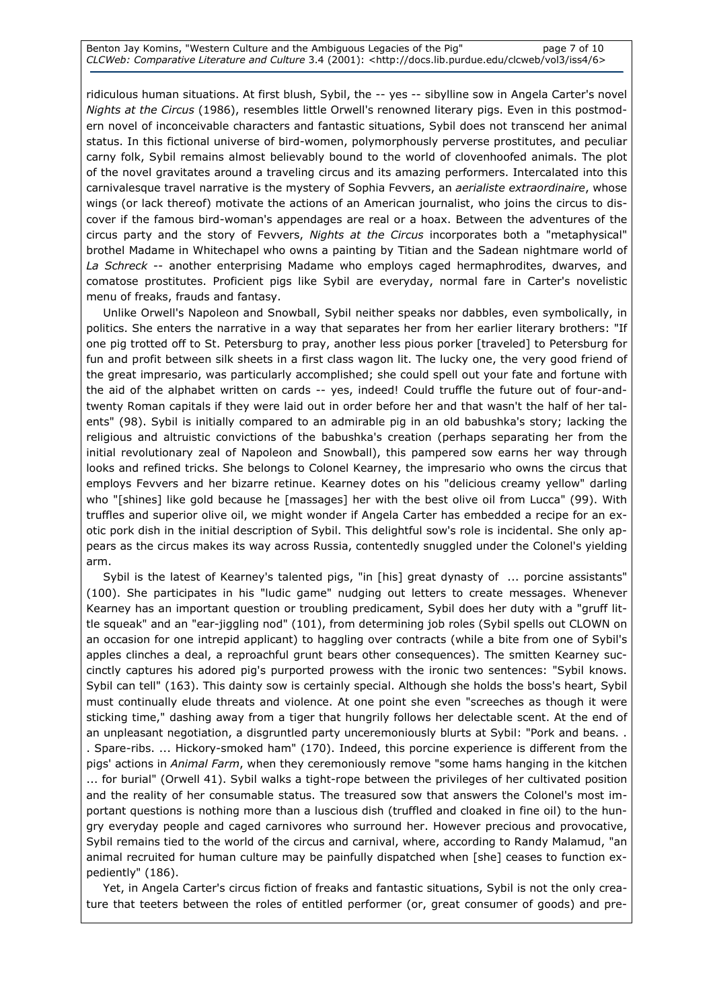ridiculous human situations. At first blush, Sybil, the -- yes -- sibylline sow in Angela Carter's novel Nights at the Circus (1986), resembles little Orwell's renowned literary pigs. Even in this postmodern novel of inconceivable characters and fantastic situations, Sybil does not transcend her animal status. In this fictional universe of bird-women, polymorphously perverse prostitutes, and peculiar carny folk, Sybil remains almost believably bound to the world of clovenhoofed animals. The plot of the novel gravitates around a traveling circus and its amazing performers. Intercalated into this carnivalesque travel narrative is the mystery of Sophia Fevvers, an *aerialiste extraordinaire*, whose wings (or lack thereof) motivate the actions of an American journalist, who joins the circus to discover if the famous bird-woman's appendages are real or a hoax. Between the adventures of the circus party and the story of Fevvers, Nights at the Circus incorporates both a "metaphysical" brothel Madame in Whitechapel who owns a painting by Titian and the Sadean nightmare world of La Schreck -- another enterprising Madame who employs caged hermaphrodites, dwarves, and comatose prostitutes. Proficient pigs like Sybil are everyday, normal fare in Carter's novelistic menu of freaks, frauds and fantasy.

Unlike Orwell's Napoleon and Snowball, Sybil neither speaks nor dabbles, even symbolically, in politics. She enters the narrative in a way that separates her from her earlier literary brothers: "If one pig trotted off to St. Petersburg to pray, another less pious porker [traveled] to Petersburg for fun and profit between silk sheets in a first class wagon lit. The lucky one, the very good friend of the great impresario, was particularly accomplished; she could spell out your fate and fortune with the aid of the alphabet written on cards -- yes, indeed! Could truffle the future out of four-andtwenty Roman capitals if they were laid out in order before her and that wasn't the half of her talents" (98). Sybil is initially compared to an admirable pig in an old babushka's story; lacking the religious and altruistic convictions of the babushka's creation (perhaps separating her from the initial revolutionary zeal of Napoleon and Snowball), this pampered sow earns her way through looks and refined tricks. She belongs to Colonel Kearney, the impresario who owns the circus that employs Fevvers and her bizarre retinue. Kearney dotes on his "delicious creamy yellow" darling who "[shines] like gold because he [massages] her with the best olive oil from Lucca" (99). With truffles and superior olive oil, we might wonder if Angela Carter has embedded a recipe for an exotic pork dish in the initial description of Sybil. This delightful sow's role is incidental. She only appears as the circus makes its way across Russia, contentedly snuggled under the Colonel's yielding arm.

Sybil is the latest of Kearney's talented pigs, "in [his] great dynasty of ... porcine assistants" (100). She participates in his "ludic game" nudging out letters to create messages. Whenever Kearney has an important question or troubling predicament, Sybil does her duty with a "gruff little squeak" and an "ear-jiggling nod" (101), from determining job roles (Sybil spells out CLOWN on an occasion for one intrepid applicant) to haggling over contracts (while a bite from one of Sybil's apples clinches a deal, a reproachful grunt bears other consequences). The smitten Kearney succinctly captures his adored pig's purported prowess with the ironic two sentences: "Sybil knows. Sybil can tell" (163). This dainty sow is certainly special. Although she holds the boss's heart, Sybil must continually elude threats and violence. At one point she even "screeches as though it were sticking time," dashing away from a tiger that hungrily follows her delectable scent. At the end of an unpleasant negotiation, a disgruntled party unceremoniously blurts at Sybil: "Pork and beans. . . Spare-ribs. ... Hickory-smoked ham" (170). Indeed, this porcine experience is different from the pigs' actions in Animal Farm, when they ceremoniously remove "some hams hanging in the kitchen ... for burial" (Orwell 41). Sybil walks a tight-rope between the privileges of her cultivated position and the reality of her consumable status. The treasured sow that answers the Colonel's most important questions is nothing more than a luscious dish (truffled and cloaked in fine oil) to the hungry everyday people and caged carnivores who surround her. However precious and provocative, Sybil remains tied to the world of the circus and carnival, where, according to Randy Malamud, "an animal recruited for human culture may be painfully dispatched when [she] ceases to function expediently" (186).

Yet, in Angela Carter's circus fiction of freaks and fantastic situations, Sybil is not the only creature that teeters between the roles of entitled performer (or, great consumer of goods) and pre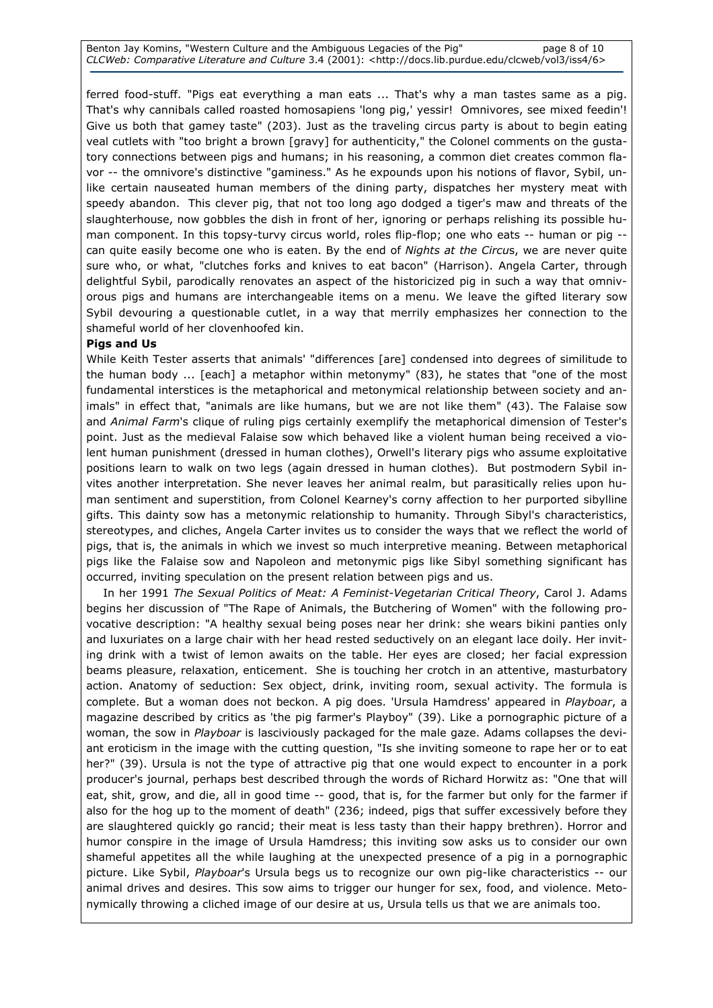Benton Jay Komins, "Western Culture and the Ambiguous Legacies of the Pig" page 8 of 10 CLCWeb: Comparative Literature and Culture 3.4 (2001): <http://docs.lib.purdue.edu/clcweb/vol3/iss4/6>

ferred food-stuff. "Pigs eat everything a man eats ... That's why a man tastes same as a pig. That's why cannibals called roasted homosapiens 'long pig,' yessir! Omnivores, see mixed feedin'! Give us both that gamey taste" (203). Just as the traveling circus party is about to begin eating veal cutlets with "too bright a brown [gravy] for authenticity," the Colonel comments on the gustatory connections between pigs and humans; in his reasoning, a common diet creates common flavor -- the omnivore's distinctive "gaminess." As he expounds upon his notions of flavor, Sybil, unlike certain nauseated human members of the dining party, dispatches her mystery meat with speedy abandon. This clever pig, that not too long ago dodged a tiger's maw and threats of the slaughterhouse, now gobbles the dish in front of her, ignoring or perhaps relishing its possible human component. In this topsy-turvy circus world, roles flip-flop; one who eats -- human or pig - can quite easily become one who is eaten. By the end of Nights at the Circus, we are never quite sure who, or what, "clutches forks and knives to eat bacon" (Harrison). Angela Carter, through delightful Sybil, parodically renovates an aspect of the historicized pig in such a way that omnivorous pigs and humans are interchangeable items on a menu. We leave the gifted literary sow Sybil devouring a questionable cutlet, in a way that merrily emphasizes her connection to the shameful world of her clovenhoofed kin.

## Pigs and Us

While Keith Tester asserts that animals' "differences [are] condensed into degrees of similitude to the human body ... [each] a metaphor within metonymy" (83), he states that "one of the most fundamental interstices is the metaphorical and metonymical relationship between society and animals" in effect that, "animals are like humans, but we are not like them" (43). The Falaise sow and Animal Farm's clique of ruling pigs certainly exemplify the metaphorical dimension of Tester's point. Just as the medieval Falaise sow which behaved like a violent human being received a violent human punishment (dressed in human clothes), Orwell's literary pigs who assume exploitative positions learn to walk on two legs (again dressed in human clothes). But postmodern Sybil invites another interpretation. She never leaves her animal realm, but parasitically relies upon human sentiment and superstition, from Colonel Kearney's corny affection to her purported sibylline gifts. This dainty sow has a metonymic relationship to humanity. Through Sibyl's characteristics, stereotypes, and cliches, Angela Carter invites us to consider the ways that we reflect the world of pigs, that is, the animals in which we invest so much interpretive meaning. Between metaphorical pigs like the Falaise sow and Napoleon and metonymic pigs like Sibyl something significant has occurred, inviting speculation on the present relation between pigs and us.

In her 1991 The Sexual Politics of Meat: A Feminist-Vegetarian Critical Theory, Carol J. Adams begins her discussion of "The Rape of Animals, the Butchering of Women" with the following provocative description: "A healthy sexual being poses near her drink: she wears bikini panties only and luxuriates on a large chair with her head rested seductively on an elegant lace doily. Her inviting drink with a twist of lemon awaits on the table. Her eyes are closed; her facial expression beams pleasure, relaxation, enticement. She is touching her crotch in an attentive, masturbatory action. Anatomy of seduction: Sex object, drink, inviting room, sexual activity. The formula is complete. But a woman does not beckon. A pig does. 'Ursula Hamdress' appeared in *Playboar*, a magazine described by critics as 'the pig farmer's Playboy" (39). Like a pornographic picture of a woman, the sow in Playboar is lasciviously packaged for the male gaze. Adams collapses the deviant eroticism in the image with the cutting question, "Is she inviting someone to rape her or to eat her?" (39). Ursula is not the type of attractive pig that one would expect to encounter in a pork producer's journal, perhaps best described through the words of Richard Horwitz as: "One that will eat, shit, grow, and die, all in good time -- good, that is, for the farmer but only for the farmer if also for the hog up to the moment of death" (236; indeed, pigs that suffer excessively before they are slaughtered quickly go rancid; their meat is less tasty than their happy brethren). Horror and humor conspire in the image of Ursula Hamdress; this inviting sow asks us to consider our own shameful appetites all the while laughing at the unexpected presence of a pig in a pornographic picture. Like Sybil, Playboar's Ursula begs us to recognize our own pig-like characteristics -- our animal drives and desires. This sow aims to trigger our hunger for sex, food, and violence. Metonymically throwing a cliched image of our desire at us, Ursula tells us that we are animals too.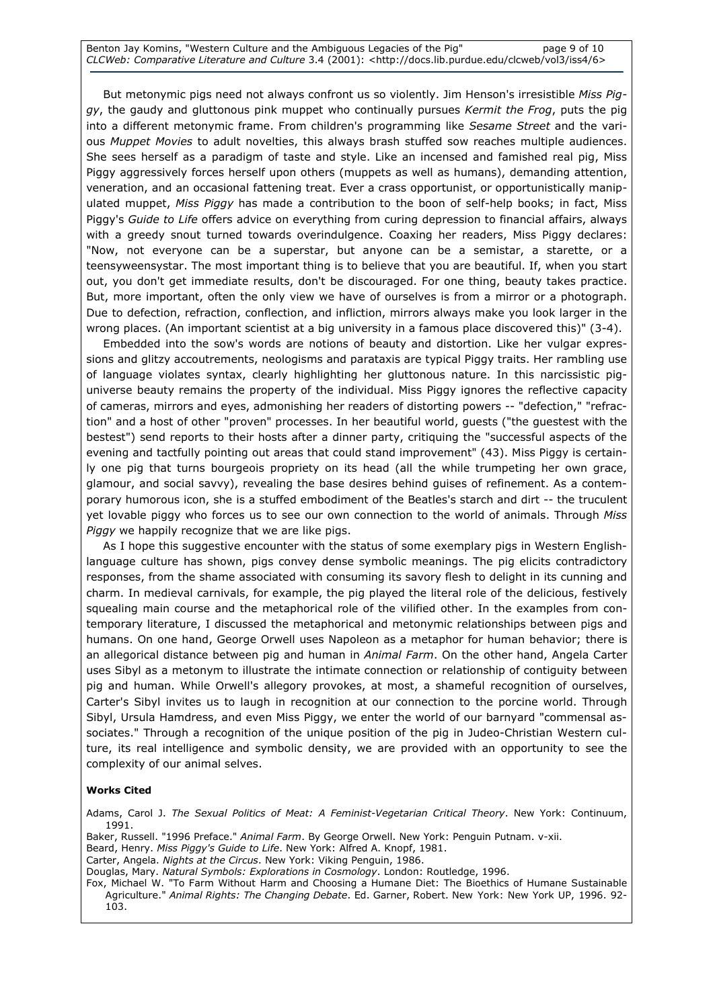Benton Jay Komins, "Western Culture and the Ambiguous Legacies of the Pig" page 9 of 10 CLCWeb: Comparative Literature and Culture 3.4 (2001): <http://docs.lib.purdue.edu/clcweb/vol3/iss4/6>

But metonymic pigs need not always confront us so violently. Jim Henson's irresistible Miss Piggy, the gaudy and gluttonous pink muppet who continually pursues Kermit the Frog, puts the pig into a different metonymic frame. From children's programming like Sesame Street and the various Muppet Movies to adult novelties, this always brash stuffed sow reaches multiple audiences. She sees herself as a paradigm of taste and style. Like an incensed and famished real pig, Miss Piggy aggressively forces herself upon others (muppets as well as humans), demanding attention, veneration, and an occasional fattening treat. Ever a crass opportunist, or opportunistically manipulated muppet, Miss Piggy has made a contribution to the boon of self-help books; in fact, Miss Piggy's Guide to Life offers advice on everything from curing depression to financial affairs, always with a greedy snout turned towards overindulgence. Coaxing her readers, Miss Piggy declares: "Now, not everyone can be a superstar, but anyone can be a semistar, a starette, or a teensyweensystar. The most important thing is to believe that you are beautiful. If, when you start out, you don't get immediate results, don't be discouraged. For one thing, beauty takes practice. But, more important, often the only view we have of ourselves is from a mirror or a photograph. Due to defection, refraction, conflection, and infliction, mirrors always make you look larger in the wrong places. (An important scientist at a big university in a famous place discovered this)" (3-4).

Embedded into the sow's words are notions of beauty and distortion. Like her vulgar expressions and glitzy accoutrements, neologisms and parataxis are typical Piggy traits. Her rambling use of language violates syntax, clearly highlighting her gluttonous nature. In this narcissistic piguniverse beauty remains the property of the individual. Miss Piggy ignores the reflective capacity of cameras, mirrors and eyes, admonishing her readers of distorting powers -- "defection," "refraction" and a host of other "proven" processes. In her beautiful world, guests ("the guestest with the bestest") send reports to their hosts after a dinner party, critiquing the "successful aspects of the evening and tactfully pointing out areas that could stand improvement" (43). Miss Piggy is certainly one pig that turns bourgeois propriety on its head (all the while trumpeting her own grace, glamour, and social savvy), revealing the base desires behind guises of refinement. As a contemporary humorous icon, she is a stuffed embodiment of the Beatles's starch and dirt -- the truculent yet lovable piggy who forces us to see our own connection to the world of animals. Through Miss Piggy we happily recognize that we are like pigs.

As I hope this suggestive encounter with the status of some exemplary pigs in Western Englishlanguage culture has shown, pigs convey dense symbolic meanings. The pig elicits contradictory responses, from the shame associated with consuming its savory flesh to delight in its cunning and charm. In medieval carnivals, for example, the pig played the literal role of the delicious, festively squealing main course and the metaphorical role of the vilified other. In the examples from contemporary literature, I discussed the metaphorical and metonymic relationships between pigs and humans. On one hand, George Orwell uses Napoleon as a metaphor for human behavior; there is an allegorical distance between pig and human in *Animal Farm*. On the other hand, Angela Carter uses Sibyl as a metonym to illustrate the intimate connection or relationship of contiguity between pig and human. While Orwell's allegory provokes, at most, a shameful recognition of ourselves, Carter's Sibyl invites us to laugh in recognition at our connection to the porcine world. Through Sibyl, Ursula Hamdress, and even Miss Piggy, we enter the world of our barnyard "commensal associates." Through a recognition of the unique position of the pig in Judeo-Christian Western culture, its real intelligence and symbolic density, we are provided with an opportunity to see the complexity of our animal selves.

#### Works Cited

Adams, Carol J. The Sexual Politics of Meat: A Feminist-Vegetarian Critical Theory. New York: Continuum, 1991. Baker, Russell. "1996 Preface." Animal Farm. By George Orwell. New York: Penguin Putnam. v-xii. Beard, Henry. Miss Piggy's Guide to Life. New York: Alfred A. Knopf, 1981. Carter, Angela. Nights at the Circus. New York: Viking Penguin, 1986. Douglas, Mary. Natural Symbols: Explorations in Cosmology. London: Routledge, 1996. Fox, Michael W. "To Farm Without Harm and Choosing a Humane Diet: The Bioethics of Humane Sustainable Agriculture." Animal Rights: The Changing Debate. Ed. Garner, Robert. New York: New York UP, 1996. 92- 103.